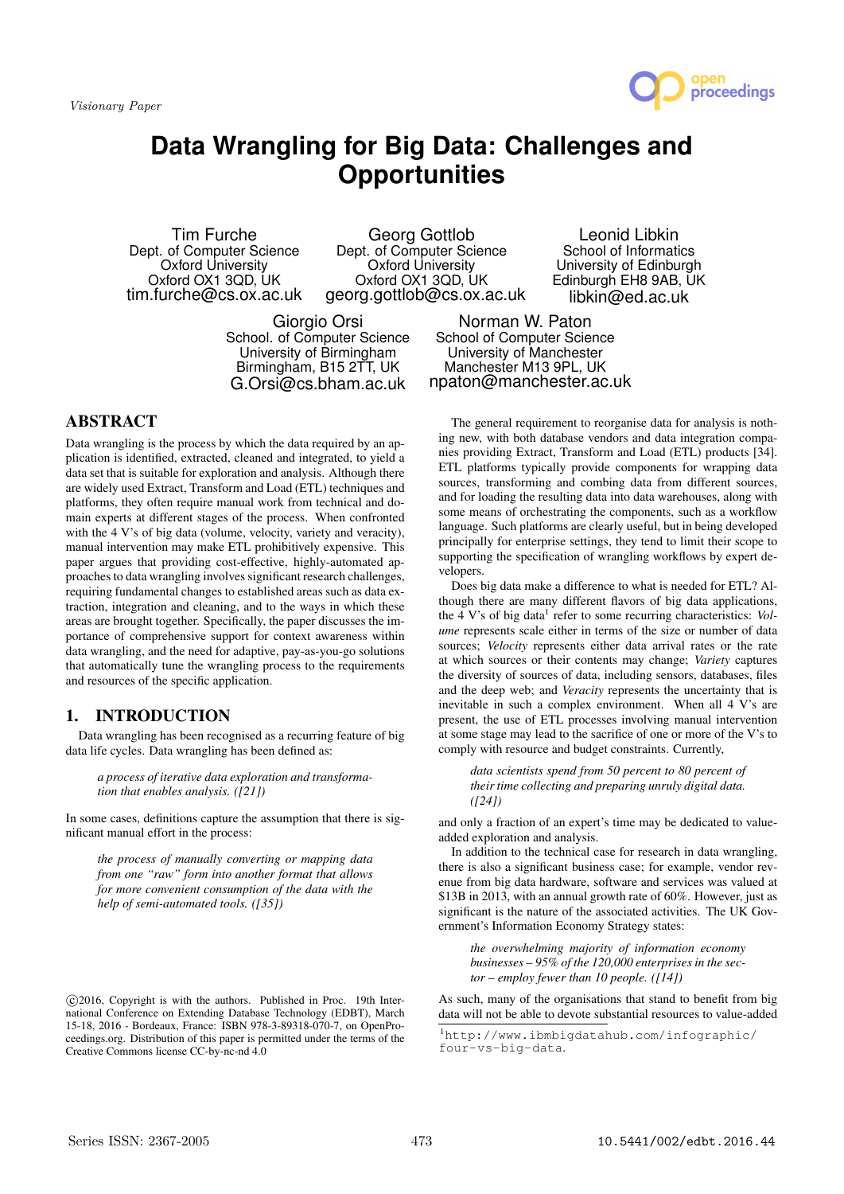

# **Data Wrangling for Big Data: Challenges and Opportunities**

Tim Furche Dept. of Computer Science Oxford University Oxford OX1 3QD, UK tim.furche@cs.ox.ac.uk

Georg Gottlob Dept. of Computer Science Oxford University Oxford OX1 3QD, UK georg.gottlob@cs.ox.ac.uk

Leonid Libkin School of Informatics University of Edinburgh Edinburgh EH8 9AB, UK libkin@ed.ac.uk

Giorgio Orsi School. of Computer Science University of Birmingham Birmingham, B15 2TT, UK G.Orsi@cs.bham.ac.uk

Norman W. Paton School of Computer Science University of Manchester Manchester M13 9PL, UK npaton@manchester.ac.uk

# ABSTRACT

Data wrangling is the process by which the data required by an application is identified, extracted, cleaned and integrated, to yield a data set that is suitable for exploration and analysis. Although there are widely used Extract, Transform and Load (ETL) techniques and platforms, they often require manual work from technical and domain experts at different stages of the process. When confronted with the 4 V's of big data (volume, velocity, variety and veracity), manual intervention may make ETL prohibitively expensive. This paper argues that providing cost-effective, highly-automated approaches to data wrangling involves significant research challenges, requiring fundamental changes to established areas such as data extraction, integration and cleaning, and to the ways in which these areas are brought together. Specifically, the paper discusses the importance of comprehensive support for context awareness within data wrangling, and the need for adaptive, pay-as-you-go solutions that automatically tune the wrangling process to the requirements and resources of the specific application.

## 1. INTRODUCTION

Data wrangling has been recognised as a recurring feature of big data life cycles. Data wrangling has been defined as:

*a process of iterative data exploration and transformation that enables analysis. ([21])*

In some cases, definitions capture the assumption that there is significant manual effort in the process:

*the process of manually converting or mapping data from one "raw" form into another format that allows for more convenient consumption of the data with the help of semi-automated tools. ([35])*

The general requirement to reorganise data for analysis is nothing new, with both database vendors and data integration companies providing Extract, Transform and Load (ETL) products [34]. ETL platforms typically provide components for wrapping data sources, transforming and combing data from different sources, and for loading the resulting data into data warehouses, along with some means of orchestrating the components, such as a workflow language. Such platforms are clearly useful, but in being developed principally for enterprise settings, they tend to limit their scope to supporting the specification of wrangling workflows by expert developers.

Does big data make a difference to what is needed for ETL? Although there are many different flavors of big data applications, the 4 V's of big data<sup>1</sup> refer to some recurring characteristics: Vol*ume* represents scale either in terms of the size or number of data sources; *Velocity* represents either data arrival rates or the rate at which sources or their contents may change; *Variety* captures the diversity of sources of data, including sensors, databases, files and the deep web; and *Veracity* represents the uncertainty that is inevitable in such a complex environment. When all 4 V's are present, the use of ETL processes involving manual intervention at some stage may lead to the sacrifice of one or more of the V's to comply with resource and budget constraints. Currently,

*data scientists spend from 50 percent to 80 percent of their time collecting and preparing unruly digital data. ([24])*

and only a fraction of an expert's time may be dedicated to valueadded exploration and analysis.

In addition to the technical case for research in data wrangling, there is also a significant business case; for example, vendor revenue from big data hardware, software and services was valued at \$13B in 2013, with an annual growth rate of 60%. However, just as significant is the nature of the associated activities. The UK Government's Information Economy Strategy states:

*the overwhelming majority of information economy businesses – 95% of the 120,000 enterprises in the sector – employ fewer than 10 people. ([14])*

As such, many of the organisations that stand to benefit from big data will not be able to devote substantial resources to value-added

c 2016, Copyright is with the authors. Published in Proc. 19th International Conference on Extending Database Technology (EDBT), March 15-18, 2016 - Bordeaux, France: ISBN 978-3-89318-070-7, on OpenProceedings.org. Distribution of this paper is permitted under the terms of the Creative Commons license CC-by-nc-nd 4.0

<sup>1</sup>http://www.ibmbigdatahub.com/infographic/ four-vs-big-data.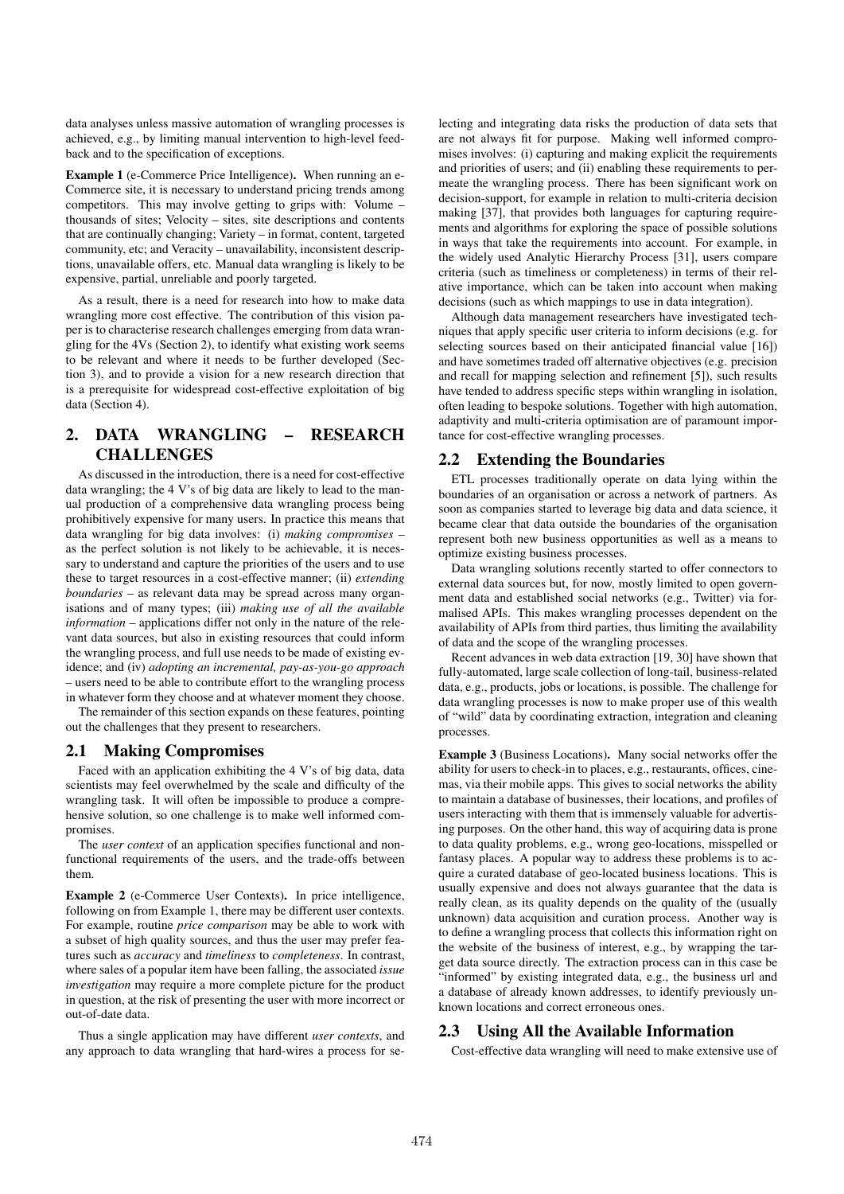data analyses unless massive automation of wrangling processes is achieved, e.g., by limiting manual intervention to high-level feedback and to the specification of exceptions.

Example 1 (e-Commerce Price Intelligence). When running an e-Commerce site, it is necessary to understand pricing trends among competitors. This may involve getting to grips with: Volume – thousands of sites; Velocity – sites, site descriptions and contents that are continually changing; Variety – in format, content, targeted community, etc; and Veracity – unavailability, inconsistent descriptions, unavailable offers, etc. Manual data wrangling is likely to be expensive, partial, unreliable and poorly targeted.

As a result, there is a need for research into how to make data wrangling more cost effective. The contribution of this vision paper is to characterise research challenges emerging from data wrangling for the 4Vs (Section 2), to identify what existing work seems to be relevant and where it needs to be further developed (Section 3), and to provide a vision for a new research direction that is a prerequisite for widespread cost-effective exploitation of big data (Section 4).

## 2. DATA WRANGLING – RESEARCH CHALLENGES

As discussed in the introduction, there is a need for cost-effective data wrangling; the 4 V's of big data are likely to lead to the manual production of a comprehensive data wrangling process being prohibitively expensive for many users. In practice this means that data wrangling for big data involves: (i) *making compromises* – as the perfect solution is not likely to be achievable, it is necessary to understand and capture the priorities of the users and to use these to target resources in a cost-effective manner; (ii) *extending boundaries* – as relevant data may be spread across many organisations and of many types; (iii) *making use of all the available information* – applications differ not only in the nature of the relevant data sources, but also in existing resources that could inform the wrangling process, and full use needs to be made of existing evidence; and (iv) *adopting an incremental, pay-as-you-go approach* – users need to be able to contribute effort to the wrangling process in whatever form they choose and at whatever moment they choose.

The remainder of this section expands on these features, pointing out the challenges that they present to researchers.

#### 2.1 Making Compromises

Faced with an application exhibiting the 4 V's of big data, data scientists may feel overwhelmed by the scale and difficulty of the wrangling task. It will often be impossible to produce a comprehensive solution, so one challenge is to make well informed compromises.

The *user context* of an application specifies functional and nonfunctional requirements of the users, and the trade-offs between them.

Example 2 (e-Commerce User Contexts). In price intelligence, following on from Example 1, there may be different user contexts. For example, routine *price comparison* may be able to work with a subset of high quality sources, and thus the user may prefer features such as *accuracy* and *timeliness* to *completeness*. In contrast, where sales of a popular item have been falling, the associated *issue investigation* may require a more complete picture for the product in question, at the risk of presenting the user with more incorrect or out-of-date data.

Thus a single application may have different *user contexts*, and any approach to data wrangling that hard-wires a process for selecting and integrating data risks the production of data sets that are not always fit for purpose. Making well informed compromises involves: (i) capturing and making explicit the requirements and priorities of users; and (ii) enabling these requirements to permeate the wrangling process. There has been significant work on decision-support, for example in relation to multi-criteria decision making [37], that provides both languages for capturing requirements and algorithms for exploring the space of possible solutions in ways that take the requirements into account. For example, in the widely used Analytic Hierarchy Process [31], users compare criteria (such as timeliness or completeness) in terms of their relative importance, which can be taken into account when making decisions (such as which mappings to use in data integration).

Although data management researchers have investigated techniques that apply specific user criteria to inform decisions (e.g. for selecting sources based on their anticipated financial value [16]) and have sometimes traded off alternative objectives (e.g. precision and recall for mapping selection and refinement [5]), such results have tended to address specific steps within wrangling in isolation, often leading to bespoke solutions. Together with high automation, adaptivity and multi-criteria optimisation are of paramount importance for cost-effective wrangling processes.

## 2.2 Extending the Boundaries

ETL processes traditionally operate on data lying within the boundaries of an organisation or across a network of partners. As soon as companies started to leverage big data and data science, it became clear that data outside the boundaries of the organisation represent both new business opportunities as well as a means to optimize existing business processes.

Data wrangling solutions recently started to offer connectors to external data sources but, for now, mostly limited to open government data and established social networks (e.g., Twitter) via formalised APIs. This makes wrangling processes dependent on the availability of APIs from third parties, thus limiting the availability of data and the scope of the wrangling processes.

Recent advances in web data extraction [19, 30] have shown that fully-automated, large scale collection of long-tail, business-related data, e.g., products, jobs or locations, is possible. The challenge for data wrangling processes is now to make proper use of this wealth of "wild" data by coordinating extraction, integration and cleaning processes.

Example 3 (Business Locations). Many social networks offer the ability for users to check-in to places, e.g., restaurants, offices, cinemas, via their mobile apps. This gives to social networks the ability to maintain a database of businesses, their locations, and profiles of users interacting with them that is immensely valuable for advertising purposes. On the other hand, this way of acquiring data is prone to data quality problems, e.g., wrong geo-locations, misspelled or fantasy places. A popular way to address these problems is to acquire a curated database of geo-located business locations. This is usually expensive and does not always guarantee that the data is really clean, as its quality depends on the quality of the (usually unknown) data acquisition and curation process. Another way is to define a wrangling process that collects this information right on the website of the business of interest, e.g., by wrapping the target data source directly. The extraction process can in this case be "informed" by existing integrated data, e.g., the business url and a database of already known addresses, to identify previously unknown locations and correct erroneous ones.

## 2.3 Using All the Available Information

Cost-effective data wrangling will need to make extensive use of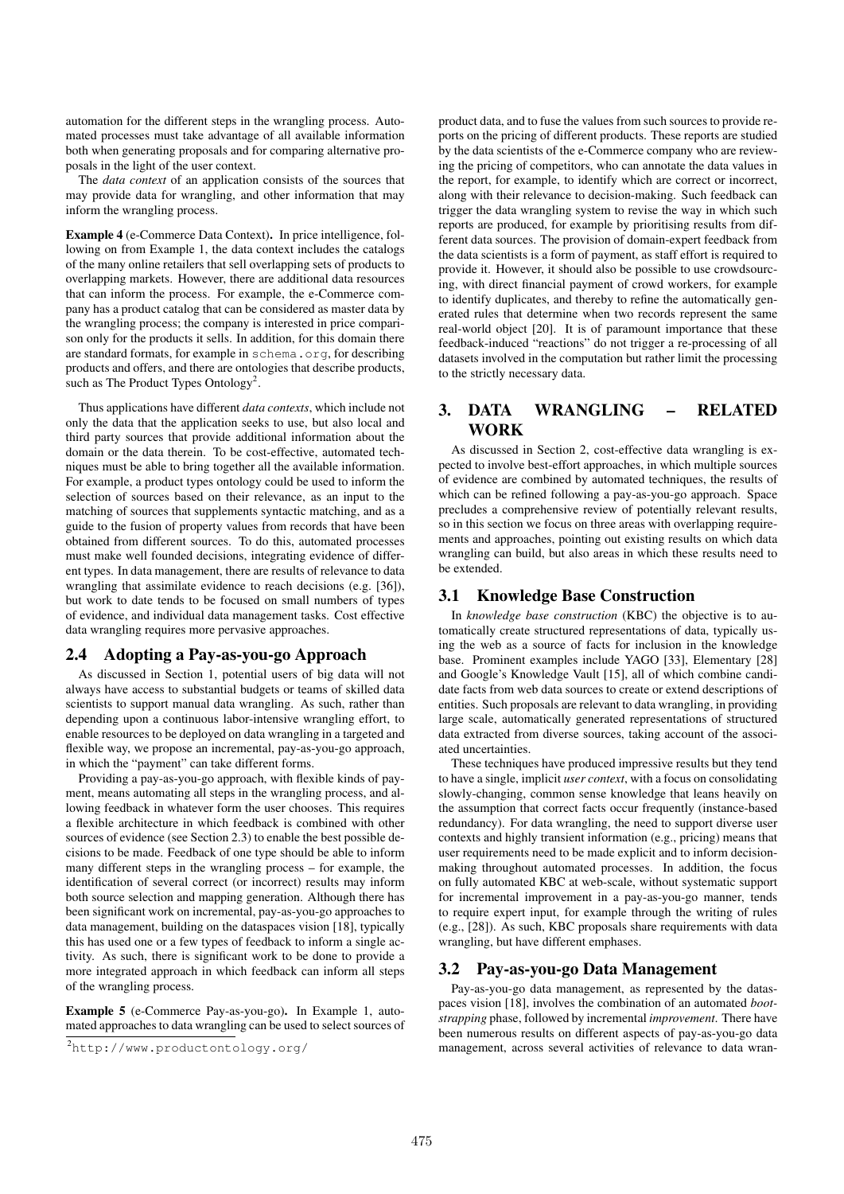automation for the different steps in the wrangling process. Automated processes must take advantage of all available information both when generating proposals and for comparing alternative proposals in the light of the user context.

The *data context* of an application consists of the sources that may provide data for wrangling, and other information that may inform the wrangling process.

Example 4 (e-Commerce Data Context). In price intelligence, following on from Example 1, the data context includes the catalogs of the many online retailers that sell overlapping sets of products to overlapping markets. However, there are additional data resources that can inform the process. For example, the e-Commerce company has a product catalog that can be considered as master data by the wrangling process; the company is interested in price comparison only for the products it sells. In addition, for this domain there are standard formats, for example in schema.org, for describing products and offers, and there are ontologies that describe products, such as The Product Types Ontology<sup>2</sup>.

Thus applications have different *data contexts*, which include not only the data that the application seeks to use, but also local and third party sources that provide additional information about the domain or the data therein. To be cost-effective, automated techniques must be able to bring together all the available information. For example, a product types ontology could be used to inform the selection of sources based on their relevance, as an input to the matching of sources that supplements syntactic matching, and as a guide to the fusion of property values from records that have been obtained from different sources. To do this, automated processes must make well founded decisions, integrating evidence of different types. In data management, there are results of relevance to data wrangling that assimilate evidence to reach decisions (e.g. [36]), but work to date tends to be focused on small numbers of types of evidence, and individual data management tasks. Cost effective data wrangling requires more pervasive approaches.

#### 2.4 Adopting a Pay-as-you-go Approach

As discussed in Section 1, potential users of big data will not always have access to substantial budgets or teams of skilled data scientists to support manual data wrangling. As such, rather than depending upon a continuous labor-intensive wrangling effort, to enable resources to be deployed on data wrangling in a targeted and flexible way, we propose an incremental, pay-as-you-go approach, in which the "payment" can take different forms.

Providing a pay-as-you-go approach, with flexible kinds of payment, means automating all steps in the wrangling process, and allowing feedback in whatever form the user chooses. This requires a flexible architecture in which feedback is combined with other sources of evidence (see Section 2.3) to enable the best possible decisions to be made. Feedback of one type should be able to inform many different steps in the wrangling process – for example, the identification of several correct (or incorrect) results may inform both source selection and mapping generation. Although there has been significant work on incremental, pay-as-you-go approaches to data management, building on the dataspaces vision [18], typically this has used one or a few types of feedback to inform a single activity. As such, there is significant work to be done to provide a more integrated approach in which feedback can inform all steps of the wrangling process.

Example 5 (e-Commerce Pay-as-you-go). In Example 1, automated approaches to data wrangling can be used to select sources of

product data, and to fuse the values from such sources to provide reports on the pricing of different products. These reports are studied by the data scientists of the e-Commerce company who are reviewing the pricing of competitors, who can annotate the data values in the report, for example, to identify which are correct or incorrect, along with their relevance to decision-making. Such feedback can trigger the data wrangling system to revise the way in which such reports are produced, for example by prioritising results from different data sources. The provision of domain-expert feedback from the data scientists is a form of payment, as staff effort is required to provide it. However, it should also be possible to use crowdsourcing, with direct financial payment of crowd workers, for example to identify duplicates, and thereby to refine the automatically generated rules that determine when two records represent the same real-world object [20]. It is of paramount importance that these feedback-induced "reactions" do not trigger a re-processing of all datasets involved in the computation but rather limit the processing to the strictly necessary data.

# 3. DATA WRANGLING – RELATED **WORK**

As discussed in Section 2, cost-effective data wrangling is expected to involve best-effort approaches, in which multiple sources of evidence are combined by automated techniques, the results of which can be refined following a pay-as-you-go approach. Space precludes a comprehensive review of potentially relevant results, so in this section we focus on three areas with overlapping requirements and approaches, pointing out existing results on which data wrangling can build, but also areas in which these results need to be extended.

#### 3.1 Knowledge Base Construction

In *knowledge base construction* (KBC) the objective is to automatically create structured representations of data, typically using the web as a source of facts for inclusion in the knowledge base. Prominent examples include YAGO [33], Elementary [28] and Google's Knowledge Vault [15], all of which combine candidate facts from web data sources to create or extend descriptions of entities. Such proposals are relevant to data wrangling, in providing large scale, automatically generated representations of structured data extracted from diverse sources, taking account of the associated uncertainties.

These techniques have produced impressive results but they tend to have a single, implicit *user context*, with a focus on consolidating slowly-changing, common sense knowledge that leans heavily on the assumption that correct facts occur frequently (instance-based redundancy). For data wrangling, the need to support diverse user contexts and highly transient information (e.g., pricing) means that user requirements need to be made explicit and to inform decisionmaking throughout automated processes. In addition, the focus on fully automated KBC at web-scale, without systematic support for incremental improvement in a pay-as-you-go manner, tends to require expert input, for example through the writing of rules (e.g., [28]). As such, KBC proposals share requirements with data wrangling, but have different emphases.

## 3.2 Pay-as-you-go Data Management

Pay-as-you-go data management, as represented by the dataspaces vision [18], involves the combination of an automated *bootstrapping* phase, followed by incremental *improvement*. There have been numerous results on different aspects of pay-as-you-go data management, across several activities of relevance to data wran-

<sup>2</sup>http://www.productontology.org/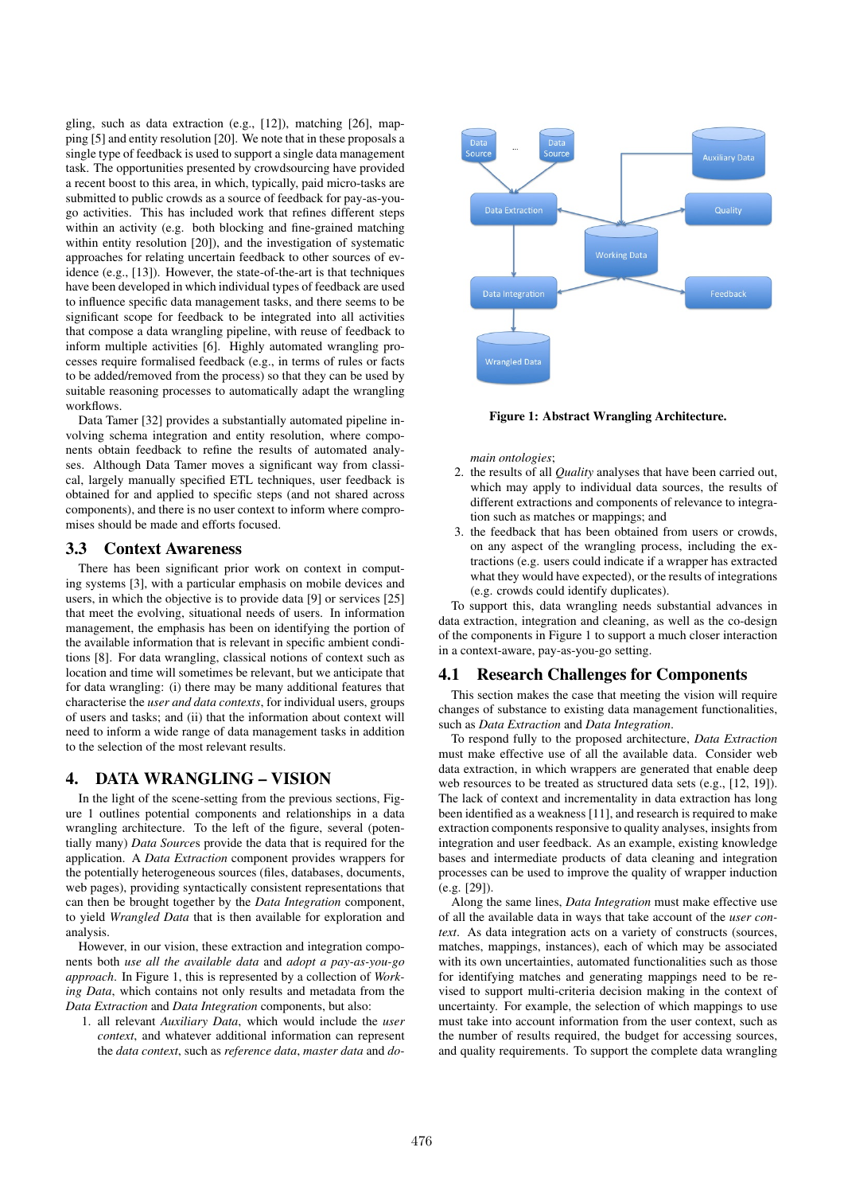gling, such as data extraction (e.g., [12]), matching [26], mapping [5] and entity resolution [20]. We note that in these proposals a single type of feedback is used to support a single data management task. The opportunities presented by crowdsourcing have provided a recent boost to this area, in which, typically, paid micro-tasks are submitted to public crowds as a source of feedback for pay-as-yougo activities. This has included work that refines different steps within an activity (e.g. both blocking and fine-grained matching within entity resolution [20]), and the investigation of systematic approaches for relating uncertain feedback to other sources of evidence (e.g., [13]). However, the state-of-the-art is that techniques have been developed in which individual types of feedback are used to influence specific data management tasks, and there seems to be significant scope for feedback to be integrated into all activities that compose a data wrangling pipeline, with reuse of feedback to inform multiple activities [6]. Highly automated wrangling processes require formalised feedback (e.g., in terms of rules or facts to be added/removed from the process) so that they can be used by suitable reasoning processes to automatically adapt the wrangling workflows.

Data Tamer [32] provides a substantially automated pipeline involving schema integration and entity resolution, where components obtain feedback to refine the results of automated analyses. Although Data Tamer moves a significant way from classical, largely manually specified ETL techniques, user feedback is obtained for and applied to specific steps (and not shared across components), and there is no user context to inform where compromises should be made and efforts focused.

#### 3.3 Context Awareness

There has been significant prior work on context in computing systems [3], with a particular emphasis on mobile devices and users, in which the objective is to provide data [9] or services [25] that meet the evolving, situational needs of users. In information management, the emphasis has been on identifying the portion of the available information that is relevant in specific ambient conditions [8]. For data wrangling, classical notions of context such as location and time will sometimes be relevant, but we anticipate that for data wrangling: (i) there may be many additional features that characterise the *user and data contexts*, for individual users, groups of users and tasks; and (ii) that the information about context will need to inform a wide range of data management tasks in addition to the selection of the most relevant results.

## 4. DATA WRANGLING – VISION

In the light of the scene-setting from the previous sections, Figure 1 outlines potential components and relationships in a data wrangling architecture. To the left of the figure, several (potentially many) *Data Source*s provide the data that is required for the application. A *Data Extraction* component provides wrappers for the potentially heterogeneous sources (files, databases, documents, web pages), providing syntactically consistent representations that can then be brought together by the *Data Integration* component, to yield *Wrangled Data* that is then available for exploration and analysis.

However, in our vision, these extraction and integration components both *use all the available data* and *adopt a pay-as-you-go approach*. In Figure 1, this is represented by a collection of *Working Data*, which contains not only results and metadata from the *Data Extraction* and *Data Integration* components, but also:

1. all relevant *Auxiliary Data*, which would include the *user context*, and whatever additional information can represent the *data context*, such as *reference data*, *master data* and *do-*



Figure 1: Abstract Wrangling Architecture.

*main ontologies*;

- 2. the results of all *Quality* analyses that have been carried out, which may apply to individual data sources, the results of different extractions and components of relevance to integration such as matches or mappings; and
- 3. the feedback that has been obtained from users or crowds, on any aspect of the wrangling process, including the extractions (e.g. users could indicate if a wrapper has extracted what they would have expected), or the results of integrations (e.g. crowds could identify duplicates).

To support this, data wrangling needs substantial advances in data extraction, integration and cleaning, as well as the co-design of the components in Figure 1 to support a much closer interaction in a context-aware, pay-as-you-go setting.

#### 4.1 Research Challenges for Components

This section makes the case that meeting the vision will require changes of substance to existing data management functionalities, such as *Data Extraction* and *Data Integration*.

To respond fully to the proposed architecture, *Data Extraction* must make effective use of all the available data. Consider web data extraction, in which wrappers are generated that enable deep web resources to be treated as structured data sets (e.g., [12, 19]). The lack of context and incrementality in data extraction has long been identified as a weakness [11], and research is required to make extraction components responsive to quality analyses, insights from integration and user feedback. As an example, existing knowledge bases and intermediate products of data cleaning and integration processes can be used to improve the quality of wrapper induction (e.g. [29]).

Along the same lines, *Data Integration* must make effective use of all the available data in ways that take account of the *user context*. As data integration acts on a variety of constructs (sources, matches, mappings, instances), each of which may be associated with its own uncertainties, automated functionalities such as those for identifying matches and generating mappings need to be revised to support multi-criteria decision making in the context of uncertainty. For example, the selection of which mappings to use must take into account information from the user context, such as the number of results required, the budget for accessing sources, and quality requirements. To support the complete data wrangling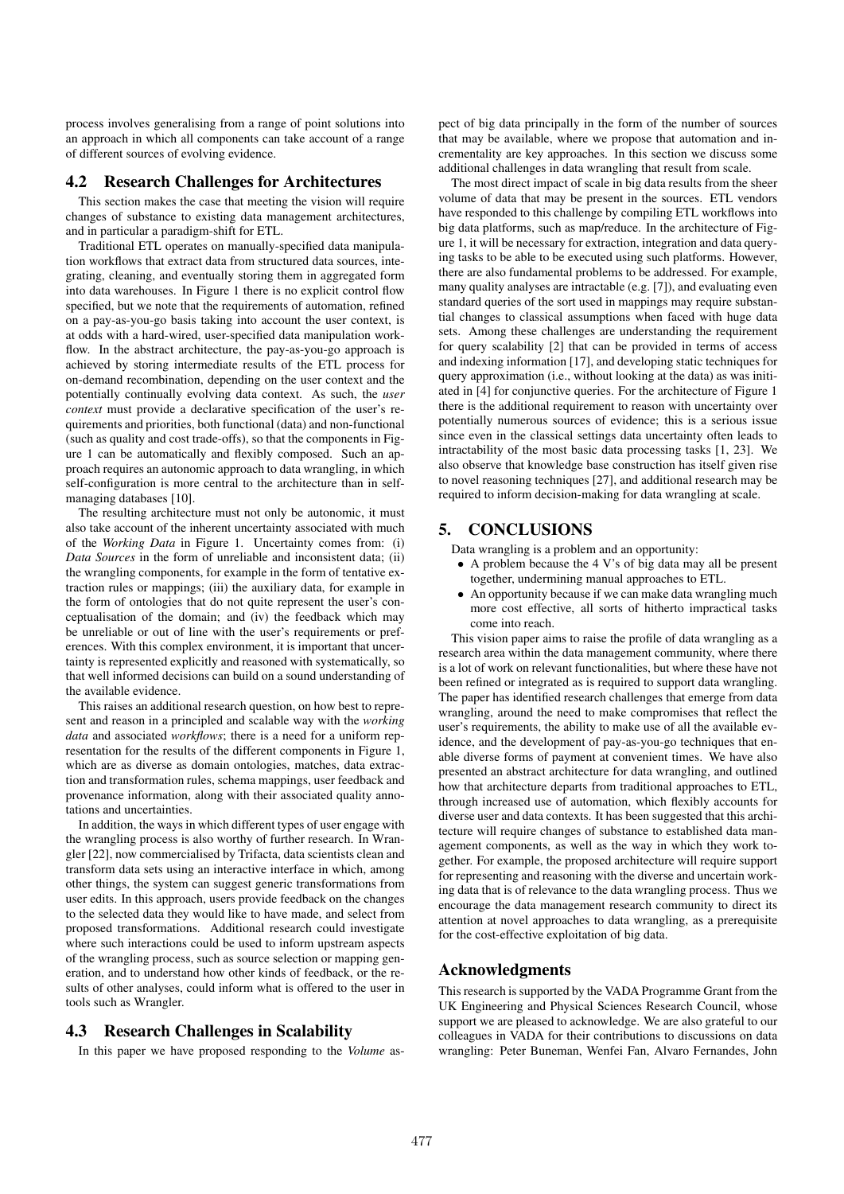process involves generalising from a range of point solutions into an approach in which all components can take account of a range of different sources of evolving evidence.

#### 4.2 Research Challenges for Architectures

This section makes the case that meeting the vision will require changes of substance to existing data management architectures, and in particular a paradigm-shift for ETL.

Traditional ETL operates on manually-specified data manipulation workflows that extract data from structured data sources, integrating, cleaning, and eventually storing them in aggregated form into data warehouses. In Figure 1 there is no explicit control flow specified, but we note that the requirements of automation, refined on a pay-as-you-go basis taking into account the user context, is at odds with a hard-wired, user-specified data manipulation workflow. In the abstract architecture, the pay-as-you-go approach is achieved by storing intermediate results of the ETL process for on-demand recombination, depending on the user context and the potentially continually evolving data context. As such, the *user context* must provide a declarative specification of the user's requirements and priorities, both functional (data) and non-functional (such as quality and cost trade-offs), so that the components in Figure 1 can be automatically and flexibly composed. Such an approach requires an autonomic approach to data wrangling, in which self-configuration is more central to the architecture than in selfmanaging databases [10].

The resulting architecture must not only be autonomic, it must also take account of the inherent uncertainty associated with much of the *Working Data* in Figure 1. Uncertainty comes from: (i) *Data Sources* in the form of unreliable and inconsistent data; (ii) the wrangling components, for example in the form of tentative extraction rules or mappings; (iii) the auxiliary data, for example in the form of ontologies that do not quite represent the user's conceptualisation of the domain; and (iv) the feedback which may be unreliable or out of line with the user's requirements or preferences. With this complex environment, it is important that uncertainty is represented explicitly and reasoned with systematically, so that well informed decisions can build on a sound understanding of the available evidence.

This raises an additional research question, on how best to represent and reason in a principled and scalable way with the *working data* and associated *workflows*; there is a need for a uniform representation for the results of the different components in Figure 1, which are as diverse as domain ontologies, matches, data extraction and transformation rules, schema mappings, user feedback and provenance information, along with their associated quality annotations and uncertainties.

In addition, the ways in which different types of user engage with the wrangling process is also worthy of further research. In Wrangler [22], now commercialised by Trifacta, data scientists clean and transform data sets using an interactive interface in which, among other things, the system can suggest generic transformations from user edits. In this approach, users provide feedback on the changes to the selected data they would like to have made, and select from proposed transformations. Additional research could investigate where such interactions could be used to inform upstream aspects of the wrangling process, such as source selection or mapping generation, and to understand how other kinds of feedback, or the results of other analyses, could inform what is offered to the user in tools such as Wrangler.

## 4.3 Research Challenges in Scalability

In this paper we have proposed responding to the *Volume* as-

pect of big data principally in the form of the number of sources that may be available, where we propose that automation and incrementality are key approaches. In this section we discuss some additional challenges in data wrangling that result from scale.

The most direct impact of scale in big data results from the sheer volume of data that may be present in the sources. ETL vendors have responded to this challenge by compiling ETL workflows into big data platforms, such as map/reduce. In the architecture of Figure 1, it will be necessary for extraction, integration and data querying tasks to be able to be executed using such platforms. However, there are also fundamental problems to be addressed. For example, many quality analyses are intractable (e.g. [7]), and evaluating even standard queries of the sort used in mappings may require substantial changes to classical assumptions when faced with huge data sets. Among these challenges are understanding the requirement for query scalability [2] that can be provided in terms of access and indexing information [17], and developing static techniques for query approximation (i.e., without looking at the data) as was initiated in [4] for conjunctive queries. For the architecture of Figure 1 there is the additional requirement to reason with uncertainty over potentially numerous sources of evidence; this is a serious issue since even in the classical settings data uncertainty often leads to intractability of the most basic data processing tasks [1, 23]. We also observe that knowledge base construction has itself given rise to novel reasoning techniques [27], and additional research may be required to inform decision-making for data wrangling at scale.

#### 5. CONCLUSIONS

Data wrangling is a problem and an opportunity:

- A problem because the 4 V's of big data may all be present together, undermining manual approaches to ETL.
- An opportunity because if we can make data wrangling much more cost effective, all sorts of hitherto impractical tasks come into reach.

This vision paper aims to raise the profile of data wrangling as a research area within the data management community, where there is a lot of work on relevant functionalities, but where these have not been refined or integrated as is required to support data wrangling. The paper has identified research challenges that emerge from data wrangling, around the need to make compromises that reflect the user's requirements, the ability to make use of all the available evidence, and the development of pay-as-you-go techniques that enable diverse forms of payment at convenient times. We have also presented an abstract architecture for data wrangling, and outlined how that architecture departs from traditional approaches to ETL, through increased use of automation, which flexibly accounts for diverse user and data contexts. It has been suggested that this architecture will require changes of substance to established data management components, as well as the way in which they work together. For example, the proposed architecture will require support for representing and reasoning with the diverse and uncertain working data that is of relevance to the data wrangling process. Thus we encourage the data management research community to direct its attention at novel approaches to data wrangling, as a prerequisite for the cost-effective exploitation of big data.

#### Acknowledgments

This research is supported by the VADA Programme Grant from the UK Engineering and Physical Sciences Research Council, whose support we are pleased to acknowledge. We are also grateful to our colleagues in VADA for their contributions to discussions on data wrangling: Peter Buneman, Wenfei Fan, Alvaro Fernandes, John